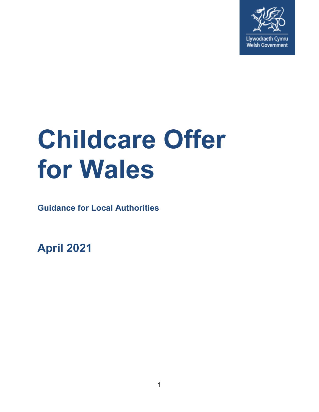

# **Childcare Offer for Wales**

**Guidance for Local Authorities** 

**April 2021**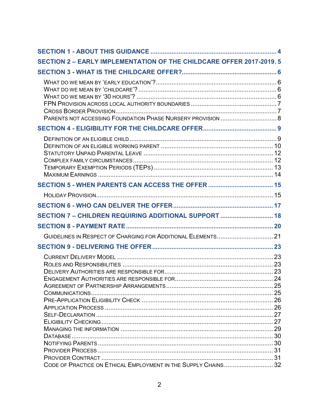| <b>SECTION 2 - EARLY IMPLEMENTATION OF THE CHILDCARE OFFER 2017-2019.5</b> |  |
|----------------------------------------------------------------------------|--|
|                                                                            |  |
|                                                                            |  |
|                                                                            |  |
|                                                                            |  |
|                                                                            |  |
|                                                                            |  |
|                                                                            |  |
| SECTION 7 - CHILDREN REQUIRING ADDITIONAL SUPPORT  18                      |  |
|                                                                            |  |
|                                                                            |  |
|                                                                            |  |
|                                                                            |  |
|                                                                            |  |
|                                                                            |  |
|                                                                            |  |
|                                                                            |  |
|                                                                            |  |
|                                                                            |  |
|                                                                            |  |
|                                                                            |  |
|                                                                            |  |
| CODE OF PRACTICE ON ETHICAL EMPLOYMENT IN THE SUPPLY CHAINS 32             |  |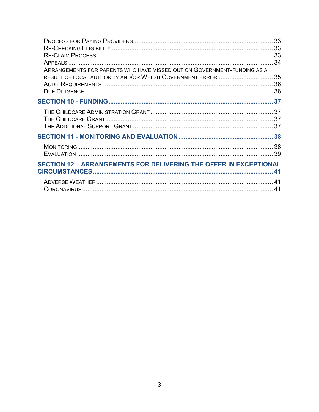| ARRANGEMENTS FOR PARENTS WHO HAVE MISSED OUT ON GOVERNMENT-FUNDING AS A  |    |
|--------------------------------------------------------------------------|----|
| RESULT OF LOCAL AUTHORITY AND/OR WELSH GOVERNMENT ERROR  35              |    |
|                                                                          |    |
|                                                                          |    |
|                                                                          |    |
|                                                                          |    |
|                                                                          |    |
|                                                                          |    |
|                                                                          |    |
|                                                                          |    |
| <b>SECTION 12 - ARRANGEMENTS FOR DELIVERING THE OFFER IN EXCEPTIONAL</b> |    |
|                                                                          |    |
|                                                                          |    |
|                                                                          | 41 |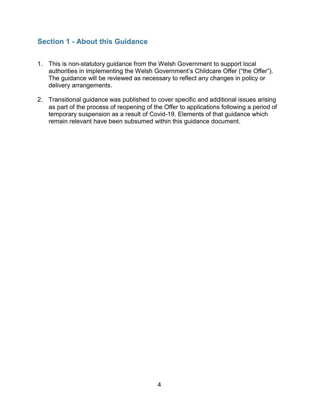# <span id="page-3-0"></span>**Section 1 - About this Guidance**

- 1. This is non-statutory guidance from the Welsh Government to support local authorities in implementing the Welsh Government's Childcare Offer ("the Offer"). The guidance will be reviewed as necessary to reflect any changes in policy or delivery arrangements.
- 2. Transitional guidance was published to cover specific and additional issues arising as part of the process of reopening of the Offer to applications following a period of temporary suspension as a result of Covid-19. Elements of that guidance which remain relevant have been subsumed within this guidance document.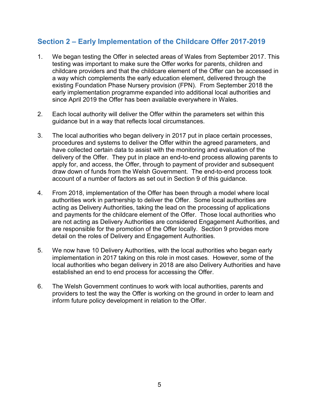# <span id="page-4-0"></span>**Section 2 – Early Implementation of the Childcare Offer 2017-2019**

- 1. We began testing the Offer in selected areas of Wales from September 2017. This testing was important to make sure the Offer works for parents, children and childcare providers and that the childcare element of the Offer can be accessed in a way which complements the early education element, delivered through the existing Foundation Phase Nursery provision (FPN). From September 2018 the early implementation programme expanded into additional local authorities and since April 2019 the Offer has been available everywhere in Wales.
- 2. Each local authority will deliver the Offer within the parameters set within this guidance but in a way that reflects local circumstances.
- 3. The local authorities who began delivery in 2017 put in place certain processes, procedures and systems to deliver the Offer within the agreed parameters, and have collected certain data to assist with the monitoring and evaluation of the delivery of the Offer. They put in place an end-to-end process allowing parents to apply for, and access, the Offer, through to payment of provider and subsequent draw down of funds from the Welsh Government. The end-to-end process took account of a number of factors as set out in Section 9 of this guidance.
- 4. From 2018, implementation of the Offer has been through a model where local authorities work in partnership to deliver the Offer. Some local authorities are acting as Delivery Authorities, taking the lead on the processing of applications and payments for the childcare element of the Offer. Those local authorities who are not acting as Delivery Authorities are considered Engagement Authorities, and are responsible for the promotion of the Offer locally. Section 9 provides more detail on the roles of Delivery and Engagement Authorities.
- 5. We now have 10 Delivery Authorities, with the local authorities who began early implementation in 2017 taking on this role in most cases. However, some of the local authorities who began delivery in 2018 are also Delivery Authorities and have established an end to end process for accessing the Offer.
- 6. The Welsh Government continues to work with local authorities, parents and providers to test the way the Offer is working on the ground in order to learn and inform future policy development in relation to the Offer.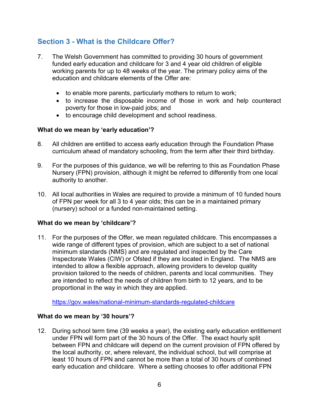# <span id="page-5-0"></span>**Section 3 - What is the Childcare Offer?**

- 7. The Welsh Government has committed to providing 30 hours of government funded early education and childcare for 3 and 4 year old children of eligible working parents for up to 48 weeks of the year. The primary policy aims of the education and childcare elements of the Offer are:
	- to enable more parents, particularly mothers to return to work;
	- to increase the disposable income of those in work and help counteract poverty for those in low-paid jobs; and
	- to encourage child development and school readiness.

#### <span id="page-5-1"></span>**What do we mean by 'early education'?**

- 8. All children are entitled to access early education through the Foundation Phase curriculum ahead of mandatory schooling, from the term after their third birthday.
- 9. For the purposes of this guidance, we will be referring to this as Foundation Phase Nursery (FPN) provision, although it might be referred to differently from one local authority to another.
- 10. All local authorities in Wales are required to provide a minimum of 10 funded hours of FPN per week for all 3 to 4 year olds; this can be in a maintained primary (nursery) school or a funded non-maintained setting.

#### <span id="page-5-2"></span>**What do we mean by 'childcare'?**

11. For the purposes of the Offer, we mean regulated childcare. This encompasses a wide range of different types of provision, which are subject to a set of national minimum standards (NMS) and are regulated and inspected by the Care Inspectorate Wales (CIW) or Ofsted if they are located in England. The NMS are intended to allow a flexible approach, allowing providers to develop quality provision tailored to the needs of children, parents and local communities. They are intended to reflect the needs of children from birth to 12 years, and to be proportional in the way in which they are applied.

<https://gov.wales/national-minimum-standards-regulated-childcare>

#### <span id="page-5-3"></span>**What do we mean by '30 hours'?**

12. During school term time (39 weeks a year), the existing early education entitlement under FPN will form part of the 30 hours of the Offer. The exact hourly split between FPN and childcare will depend on the current provision of FPN offered by the local authority, or, where relevant, the individual school, but will comprise at least 10 hours of FPN and cannot be more than a total of 30 hours of combined early education and childcare. Where a setting chooses to offer additional FPN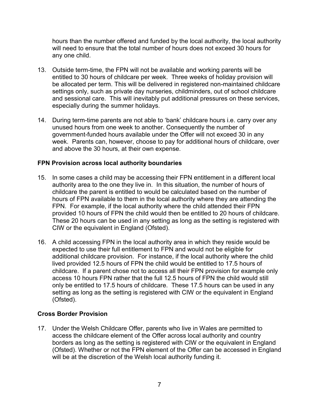hours than the number offered and funded by the local authority, the local authority will need to ensure that the total number of hours does not exceed 30 hours for any one child.

- 13. Outside term-time, the FPN will not be available and working parents will be entitled to 30 hours of childcare per week. Three weeks of holiday provision will be allocated per term. This will be delivered in registered non-maintained childcare settings only, such as private day nurseries, childminders, out of school childcare and sessional care. This will inevitably put additional pressures on these services, especially during the summer holidays.
- 14. During term-time parents are not able to 'bank' childcare hours i.e. carry over any unused hours from one week to another. Consequently the number of government-funded hours available under the Offer will not exceed 30 in any week. Parents can, however, choose to pay for additional hours of childcare, over and above the 30 hours, at their own expense.

## <span id="page-6-0"></span>**FPN Provision across local authority boundaries**

- 15. In some cases a child may be accessing their FPN entitlement in a different local authority area to the one they live in. In this situation, the number of hours of childcare the parent is entitled to would be calculated based on the number of hours of FPN available to them in the local authority where they are attending the FPN. For example, if the local authority where the child attended their FPN provided 10 hours of FPN the child would then be entitled to 20 hours of childcare. These 20 hours can be used in any setting as long as the setting is registered with CIW or the equivalent in England (Ofsted).
- 16. A child accessing FPN in the local authority area in which they reside would be expected to use their full entitlement to FPN and would not be eligible for additional childcare provision. For instance, if the local authority where the child lived provided 12.5 hours of FPN the child would be entitled to 17.5 hours of childcare. If a parent chose not to access all their FPN provision for example only access 10 hours FPN rather that the full 12.5 hours of FPN the child would still only be entitled to 17.5 hours of childcare. These 17.5 hours can be used in any setting as long as the setting is registered with CIW or the equivalent in England (Ofsted).

#### <span id="page-6-1"></span>**Cross Border Provision**

17. Under the Welsh Childcare Offer, parents who live in Wales are permitted to access the childcare element of the Offer across local authority and country borders as long as the setting is registered with CIW or the equivalent in England (Ofsted). Whether or not the FPN element of the Offer can be accessed in England will be at the discretion of the Welsh local authority funding it.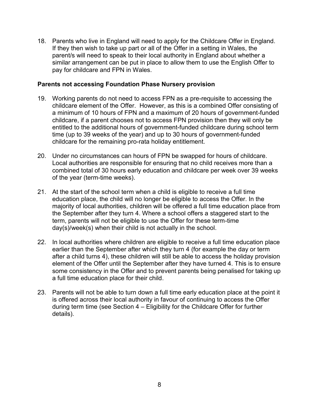18. Parents who live in England will need to apply for the Childcare Offer in England. If they then wish to take up part or all of the Offer in a setting in Wales, the parent/s will need to speak to their local authority in England about whether a similar arrangement can be put in place to allow them to use the English Offer to pay for childcare and FPN in Wales.

#### <span id="page-7-0"></span>**Parents not accessing Foundation Phase Nursery provision**

- 19. Working parents do not need to access FPN as a pre-requisite to accessing the childcare element of the Offer. However, as this is a combined Offer consisting of a minimum of 10 hours of FPN and a maximum of 20 hours of government-funded childcare, if a parent chooses not to access FPN provision then they will only be entitled to the additional hours of government-funded childcare during school term time (up to 39 weeks of the year) and up to 30 hours of government-funded childcare for the remaining pro-rata holiday entitlement.
- 20. Under no circumstances can hours of FPN be swapped for hours of childcare. Local authorities are responsible for ensuring that no child receives more than a combined total of 30 hours early education and childcare per week over 39 weeks of the year (term-time weeks).
- 21. At the start of the school term when a child is eligible to receive a full time education place, the child will no longer be eligible to access the Offer. In the majority of local authorities, children will be offered a full time education place from the September after they turn 4. Where a school offers a staggered start to the term, parents will not be eligible to use the Offer for these term-time day(s)/week(s) when their child is not actually in the school.
- 22. In local authorities where children are eligible to receive a full time education place earlier than the September after which they turn 4 (for example the day or term after a child turns 4), these children will still be able to access the holiday provision element of the Offer until the September after they have turned 4. This is to ensure some consistency in the Offer and to prevent parents being penalised for taking up a full time education place for their child.
- 23. Parents will not be able to turn down a full time early education place at the point it is offered across their local authority in favour of continuing to access the Offer during term time (see Section 4 – Eligibility for the Childcare Offer for further details).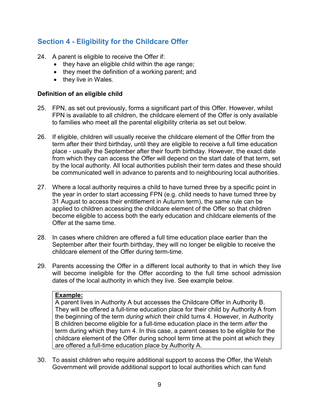# <span id="page-8-0"></span>**Section 4 - Eligibility for the Childcare Offer**

- 24. A parent is eligible to receive the Offer if:
	- $\bullet$  they have an eligible child within the age range;
	- they meet the definition of a working parent; and
	- they live in Wales.

## <span id="page-8-1"></span>**Definition of an eligible child**

- 25. FPN, as set out previously, forms a significant part of this Offer. However, whilst FPN is available to all children, the childcare element of the Offer is only available to families who meet all the parental eligibility criteria as set out below.
- 26. If eligible, children will usually receive the childcare element of the Offer from the term after their third birthday, until they are eligible to receive a full time education place - usually the September after their fourth birthday. However, the exact date from which they can access the Offer will depend on the start date of that term, set by the local authority. All local authorities publish their term dates and these should be communicated well in advance to parents and to neighbouring local authorities.
- 27. Where a local authority requires a child to have turned three by a specific point in the year in order to start accessing FPN (e.g. child needs to have turned three by 31 August to access their entitlement in Autumn term), the same rule can be applied to children accessing the childcare element of the Offer so that children become eligible to access both the early education and childcare elements of the Offer at the same time.
- 28. In cases where children are offered a full time education place earlier than the September after their fourth birthday, they will no longer be eligible to receive the childcare element of the Offer during term-time.
- 29. Parents accessing the Offer in a different local authority to that in which they live will become ineligible for the Offer according to the full time school admission dates of the local authority in which they live. See example below.

#### **Example:**

A parent lives in Authority A but accesses the Childcare Offer in Authority B. They will be offered a full-time education place for their child by Authority A from the beginning of the term *during which* their child turns 4. However, in Authority B children become eligible for a full-time education place in the term *after* the term during which they turn 4. In this case, a parent ceases to be eligible for the childcare element of the Offer during school term time at the point at which they are offered a full-time education place by Authority A.

30. To assist children who require additional support to access the Offer, the Welsh Government will provide additional support to local authorities which can fund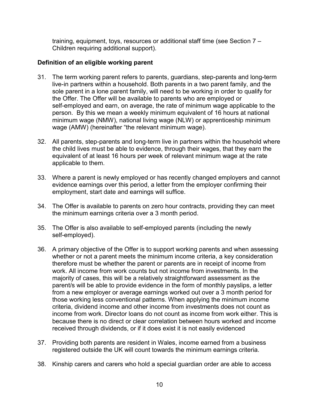training, equipment, toys, resources or additional staff time (see Section 7 – Children requiring additional support).

## <span id="page-9-0"></span>**Definition of an eligible working parent**

- 31. The term working parent refers to parents, guardians, step-parents and long-term live-in partners within a household. Both parents in a two parent family, and the sole parent in a lone parent family, will need to be working in order to qualify for the Offer. The Offer will be available to parents who are employed or self-employed and earn, on average, the rate of minimum wage applicable to the person. By this we mean a weekly minimum equivalent of 16 hours at national minimum wage (NMW), national living wage (NLW) or apprenticeship minimum wage (AMW) (hereinafter "the relevant minimum wage).
- 32. All parents, step-parents and long-term live in partners within the household where the child lives must be able to evidence, through their wages, that they earn the equivalent of at least 16 hours per week of relevant minimum wage at the rate applicable to them.
- 33. Where a parent is newly employed or has recently changed employers and cannot evidence earnings over this period, a letter from the employer confirming their employment, start date and earnings will suffice.
- 34. The Offer is available to parents on zero hour contracts, providing they can meet the minimum earnings criteria over a 3 month period.
- 35. The Offer is also available to self-employed parents (including the newly self-employed).
- 36. A primary objective of the Offer is to support working parents and when assessing whether or not a parent meets the minimum income criteria, a key consideration therefore must be whether the parent or parents are in receipt of income from work. All income from work counts but not income from investments. In the majority of cases, this will be a relatively straightforward assessment as the parent/s will be able to provide evidence in the form of monthly payslips, a letter from a new employer or average earnings worked out over a 3 month period for those working less conventional patterns. When applying the minimum income criteria, dividend income and other income from investments does not count as income from work. Director loans do not count as income from work either. This is because there is no direct or clear correlation between hours worked and income received through dividends, or if it does exist it is not easily evidenced
- 37. Providing both parents are resident in Wales, income earned from a business registered outside the UK will count towards the minimum earnings criteria.
- 38. Kinship carers and carers who hold a special guardian order are able to access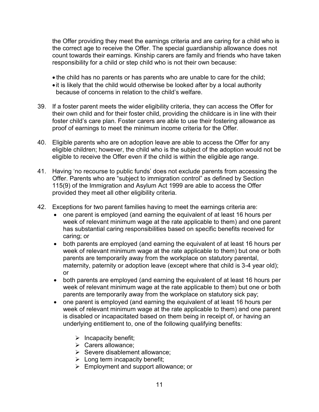the Offer providing they meet the earnings criteria and are caring for a child who is the correct age to receive the Offer. The special guardianship allowance does not count towards their earnings. Kinship carers are family and friends who have taken responsibility for a child or step child who is not their own because:

- the child has no parents or has parents who are unable to care for the child;
- it is likely that the child would otherwise be looked after by a local authority because of concerns in relation to the child's welfare.
- 39. If a foster parent meets the wider eligibility criteria, they can access the Offer for their own child and for their foster child, providing the childcare is in line with their foster child's care plan. Foster carers are able to use their fostering allowance as proof of earnings to meet the minimum income criteria for the Offer.
- 40. Eligible parents who are on adoption leave are able to access the Offer for any eligible children; however, the child who is the subject of the adoption would not be eligible to receive the Offer even if the child is within the eligible age range.
- 41. Having 'no recourse to public funds' does not exclude parents from accessing the Offer. Parents who are "subject to immigration control" as defined by Section 115(9) of the Immigration and Asylum Act 1999 are able to access the Offer provided they meet all other eligibility criteria.
- 42. Exceptions for two parent families having to meet the earnings criteria are:
	- one parent is employed (and earning the equivalent of at least 16 hours per week of relevant minimum wage at the rate applicable to them) and one parent has substantial caring responsibilities based on specific benefits received for caring; or
	- both parents are employed (and earning the equivalent of at least 16 hours per week of relevant minimum wage at the rate applicable to them) but one or both parents are temporarily away from the workplace on statutory parental, maternity, paternity or adoption leave (except where that child is 3-4 year old); or
	- both parents are employed (and earning the equivalent of at least 16 hours per week of relevant minimum wage at the rate applicable to them) but one or both parents are temporarily away from the workplace on statutory sick pay;
	- one parent is employed (and earning the equivalent of at least 16 hours per week of relevant minimum wage at the rate applicable to them) and one parent is disabled or incapacitated based on them being in receipt of, or having an underlying entitlement to, one of the following qualifying benefits:
		- $\triangleright$  Incapacity benefit;
		- > Carers allowance:
		- $\triangleright$  Severe disablement allowance;
		- $\triangleright$  Long term incapacity benefit;
		- Employment and support allowance; or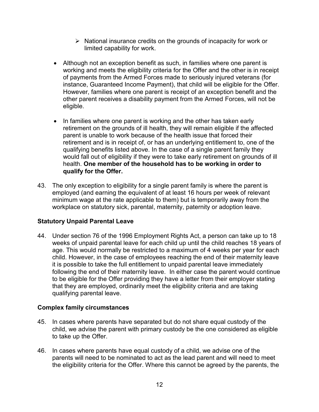- $\triangleright$  National insurance credits on the grounds of incapacity for work or limited capability for work.
- Although not an exception benefit as such, in families where one parent is working and meets the eligibility criteria for the Offer and the other is in receipt of payments from the Armed Forces made to seriously injured veterans (for instance, Guaranteed Income Payment), that child will be eligible for the Offer. However, families where one parent is receipt of an exception benefit and the other parent receives a disability payment from the Armed Forces, will not be eligible.
- In families where one parent is working and the other has taken early retirement on the grounds of ill health, they will remain eligible if the affected parent is unable to work because of the health issue that forced their retirement and is in receipt of, or has an underlying entitlement to, one of the qualifying benefits listed above. In the case of a single parent family they would fall out of eligibility if they were to take early retirement on grounds of ill health. **One member of the household has to be working in order to qualify for the Offer.**
- 43. The only exception to eligibility for a single parent family is where the parent is employed (and earning the equivalent of at least 16 hours per week of relevant minimum wage at the rate applicable to them) but is temporarily away from the workplace on statutory sick, parental, maternity, paternity or adoption leave.

# <span id="page-11-0"></span>**Statutory Unpaid Parental Leave**

44. Under section 76 of the 1996 Employment Rights Act, a person can take up to 18 weeks of unpaid parental leave for each child up until the child reaches 18 years of age. This would normally be restricted to a maximum of 4 weeks per year for each child. However, in the case of employees reaching the end of their maternity leave it is possible to take the full entitlement to unpaid parental leave immediately following the end of their maternity leave. In either case the parent would continue to be eligible for the Offer providing they have a letter from their employer stating that they are employed, ordinarily meet the eligibility criteria and are taking qualifying parental leave.

# <span id="page-11-1"></span>**Complex family circumstances**

- 45. In cases where parents have separated but do not share equal custody of the child, we advise the parent with primary custody be the one considered as eligible to take up the Offer.
- 46. In cases where parents have equal custody of a child, we advise one of the parents will need to be nominated to act as the lead parent and will need to meet the eligibility criteria for the Offer. Where this cannot be agreed by the parents, the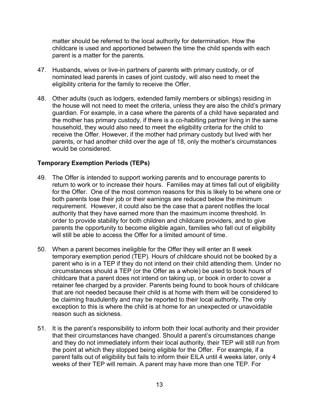matter should be referred to the local authority for determination. How the childcare is used and apportioned between the time the child spends with each parent is a matter for the parents.

- 47. Husbands, wives or live-in partners of parents with primary custody, or of nominated lead parents in cases of joint custody, will also need to meet the eligibility criteria for the family to receive the Offer.
- 48. Other adults (such as lodgers, extended family members or siblings) residing in the house will not need to meet the criteria, unless they are also the child's primary guardian. For example, in a case where the parents of a child have separated and the mother has primary custody, if there is a co-habiting partner living in the same household, they would also need to meet the eligibility criteria for the child to receive the Offer. However, if the mother had primary custody but lived with her parents, or had another child over the age of 18, only the mother's circumstances would be considered.

## <span id="page-12-0"></span>**Temporary Exemption Periods (TEPs)**

- 49. The Offer is intended to support working parents and to encourage parents to return to work or to increase their hours. Families may at times fall out of eligibility for the Offer. One of the most common reasons for this is likely to be where one or both parents lose their job or their earnings are reduced below the minimum requirement. However, it could also be the case that a parent notifies the local authority that they have earned more than the maximum income threshold. In order to provide stability for both children and childcare providers, and to give parents the opportunity to become eligible again, families who fall out of eligibility will still be able to access the Offer for a limited amount of time.
- 50. When a parent becomes ineligible for the Offer they will enter an 8 week temporary exemption period (TEP). Hours of childcare should not be booked by a parent who is in a TEP if they do not intend on their child attending them. Under no circumstances should a TEP (or the Offer as a whole) be used to book hours of childcare that a parent does not intend on taking up, or book in order to cover a retainer fee charged by a provider. Parents being found to book hours of childcare that are not needed because their child is at home with them will be considered to be claiming fraudulently and may be reported to their local authority. The only exception to this is where the child is at home for an unexpected or unavoidable reason such as sickness.
- 51. It is the parent's responsibility to inform both their local authority and their provider that their circumstances have changed. Should a parent's circumstances change and they do not immediately inform their local authority, their TEP will still run from the point at which they stopped being eligible for the Offer. For example, if a parent falls out of eligibility but fails to inform their EILA until 4 weeks later, only 4 weeks of their TEP will remain. A parent may have more than one TEP. For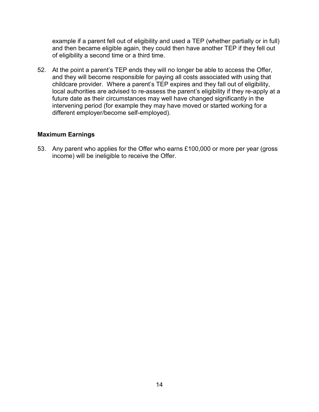example if a parent fell out of eligibility and used a TEP (whether partially or in full) and then became eligible again, they could then have another TEP if they fell out of eligibility a second time or a third time.

52. At the point a parent's TEP ends they will no longer be able to access the Offer, and they will become responsible for paying all costs associated with using that childcare provider. Where a parent's TEP expires and they fall out of eligibility, local authorities are advised to re-assess the parent's eligibility if they re-apply at a future date as their circumstances may well have changed significantly in the intervening period (for example they may have moved or started working for a different employer/become self-employed).

#### <span id="page-13-0"></span>**Maximum Earnings**

53. Any parent who applies for the Offer who earns £100,000 or more per year (gross income) will be ineligible to receive the Offer.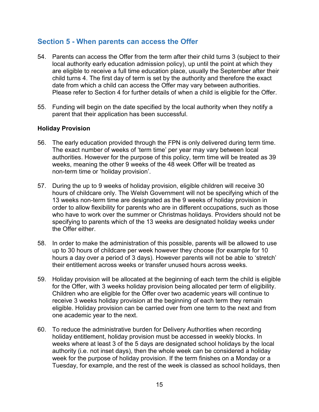# <span id="page-14-0"></span>**Section 5 - When parents can access the Offer**

- 54. Parents can access the Offer from the term after their child turns 3 (subject to their local authority early education admission policy), up until the point at which they are eligible to receive a full time education place, usually the September after their child turns 4. The first day of term is set by the authority and therefore the exact date from which a child can access the Offer may vary between authorities. Please refer to Section 4 for further details of when a child is eligible for the Offer.
- 55. Funding will begin on the date specified by the local authority when they notify a parent that their application has been successful.

#### <span id="page-14-1"></span>**Holiday Provision**

- 56. The early education provided through the FPN is only delivered during term time. The exact number of weeks of 'term time' per year may vary between local authorities. However for the purpose of this policy, term time will be treated as 39 weeks, meaning the other 9 weeks of the 48 week Offer will be treated as non-term time or 'holiday provision'.
- 57. During the up to 9 weeks of holiday provision, eligible children will receive 30 hours of childcare only. The Welsh Government will not be specifying which of the 13 weeks non-term time are designated as the 9 weeks of holiday provision in order to allow flexibility for parents who are in different occupations, such as those who have to work over the summer or Christmas holidays. Providers should not be specifying to parents which of the 13 weeks are designated holiday weeks under the Offer either.
- 58. In order to make the administration of this possible, parents will be allowed to use up to 30 hours of childcare per week however they choose (for example for 10 hours a day over a period of 3 days). However parents will not be able to 'stretch' their entitlement across weeks or transfer unused hours across weeks.
- 59. Holiday provision will be allocated at the beginning of each term the child is eligible for the Offer, with 3 weeks holiday provision being allocated per term of eligibility. Children who are eligible for the Offer over two academic years will continue to receive 3 weeks holiday provision at the beginning of each term they remain eligible. Holiday provision can be carried over from one term to the next and from one academic year to the next.
- 60. To reduce the administrative burden for Delivery Authorities when recording holiday entitlement, holiday provision must be accessed in weekly blocks. In weeks where at least 3 of the 5 days are designated school holidays by the local authority (i.e. not inset days), then the whole week can be considered a holiday week for the purpose of holiday provision. If the term finishes on a Monday or a Tuesday, for example, and the rest of the week is classed as school holidays, then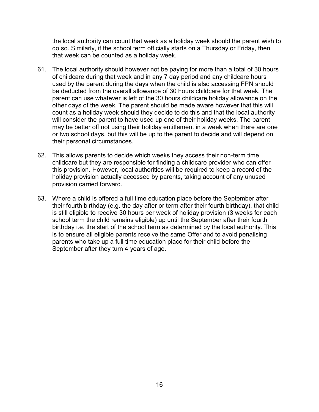the local authority can count that week as a holiday week should the parent wish to do so. Similarly, if the school term officially starts on a Thursday or Friday, then that week can be counted as a holiday week.

- 61. The local authority should however not be paying for more than a total of 30 hours of childcare during that week and in any 7 day period and any childcare hours used by the parent during the days when the child is also accessing FPN should be deducted from the overall allowance of 30 hours childcare for that week. The parent can use whatever is left of the 30 hours childcare holiday allowance on the other days of the week. The parent should be made aware however that this will count as a holiday week should they decide to do this and that the local authority will consider the parent to have used up one of their holiday weeks. The parent may be better off not using their holiday entitlement in a week when there are one or two school days, but this will be up to the parent to decide and will depend on their personal circumstances.
- 62. This allows parents to decide which weeks they access their non-term time childcare but they are responsible for finding a childcare provider who can offer this provision. However, local authorities will be required to keep a record of the holiday provision actually accessed by parents, taking account of any unused provision carried forward.
- 63. Where a child is offered a full time education place before the September after their fourth birthday (e.g. the day after or term after their fourth birthday), that child is still eligible to receive 30 hours per week of holiday provision (3 weeks for each school term the child remains eligible) up until the September after their fourth birthday i.e. the start of the school term as determined by the local authority. This is to ensure all eligible parents receive the same Offer and to avoid penalising parents who take up a full time education place for their child before the September after they turn 4 years of age.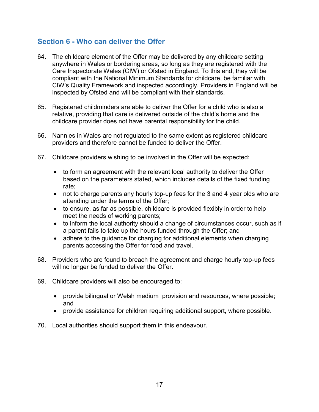# <span id="page-16-0"></span>**Section 6 - Who can deliver the Offer**

- 64. The childcare element of the Offer may be delivered by any childcare setting anywhere in Wales or bordering areas, so long as they are registered with the Care Inspectorate Wales (CIW) or Ofsted in England. To this end, they will be compliant with the National Minimum Standards for childcare, be familiar with CIW's Quality Framework and inspected accordingly. Providers in England will be inspected by Ofsted and will be compliant with their standards.
- 65. Registered childminders are able to deliver the Offer for a child who is also a relative, providing that care is delivered outside of the child's home and the childcare provider does not have parental responsibility for the child.
- 66. Nannies in Wales are not regulated to the same extent as registered childcare providers and therefore cannot be funded to deliver the Offer.
- 67. Childcare providers wishing to be involved in the Offer will be expected:
	- to form an agreement with the relevant local authority to deliver the Offer based on the parameters stated, which includes details of the fixed funding rate;
	- not to charge parents any hourly top-up fees for the 3 and 4 year olds who are attending under the terms of the Offer;
	- to ensure, as far as possible, childcare is provided flexibly in order to help meet the needs of working parents;
	- to inform the local authority should a change of circumstances occur, such as if a parent fails to take up the hours funded through the Offer; and
	- adhere to the quidance for charging for additional elements when charging parents accessing the Offer for food and travel.
- 68. Providers who are found to breach the agreement and charge hourly top-up fees will no longer be funded to deliver the Offer.
- 69. Childcare providers will also be encouraged to:
	- provide bilingual or Welsh medium provision and resources, where possible; and
	- provide assistance for children requiring additional support, where possible.
- 70. Local authorities should support them in this endeavour.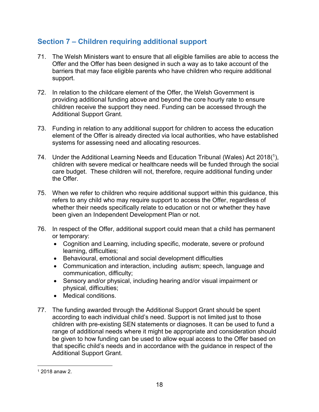# <span id="page-17-0"></span>**Section 7 – Children requiring additional support**

- 71. The Welsh Ministers want to ensure that all eligible families are able to access the Offer and the Offer has been designed in such a way as to take account of the barriers that may face eligible parents who have children who require additional support.
- 72. In relation to the childcare element of the Offer, the Welsh Government is providing additional funding above and beyond the core hourly rate to ensure children receive the support they need. Funding can be accessed through the Additional Support Grant.
- 73. Funding in relation to any additional support for children to access the education element of the Offer is already directed via local authorities, who have established systems for assessing need and allocating resources.
- 74. Under the Additional Learning Needs and Education Tribunal (Wales) Act 2018( $^1$ ), children with severe medical or healthcare needs will be funded through the social care budget. These children will not, therefore, require additional funding under the Offer.
- 75. When we refer to children who require additional support within this guidance, this refers to any child who may require support to access the Offer, regardless of whether their needs specifically relate to education or not or whether they have been given an Independent Development Plan or not.
- 76. In respect of the Offer, additional support could mean that a child has permanent or temporary:
	- Cognition and Learning, including specific, moderate, severe or profound learning, difficulties;
	- Behavioural, emotional and social development difficulties
	- Communication and interaction, including autism; speech, language and communication, difficulty;
	- Sensory and/or physical, including hearing and/or visual impairment or physical, difficulties;
	- Medical conditions.
- 77. The funding awarded through the Additional Support Grant should be spent according to each individual child's need. Support is not limited just to those children with pre-existing SEN statements or diagnoses. It can be used to fund a range of additional needs where it might be appropriate and consideration should be given to how funding can be used to allow equal access to the Offer based on that specific child's needs and in accordance with the guidance in respect of the Additional Support Grant.

 $\overline{a}$ <sup>1</sup> 2018 anaw 2.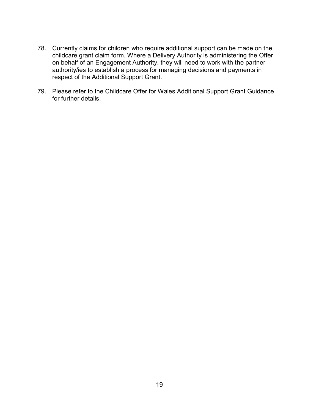- 78. Currently claims for children who require additional support can be made on the childcare grant claim form. Where a Delivery Authority is administering the Offer on behalf of an Engagement Authority, they will need to work with the partner authority/ies to establish a process for managing decisions and payments in respect of the Additional Support Grant.
- 79. Please refer to the Childcare Offer for Wales Additional Support Grant Guidance for further details.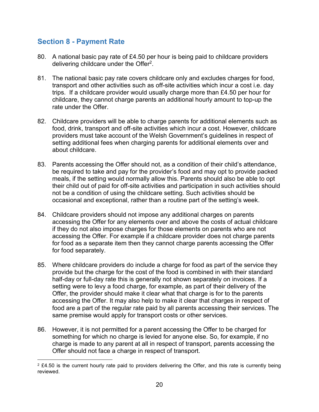# <span id="page-19-0"></span>**Section 8 - Payment Rate**

- 80. A national basic pay rate of £4.50 per hour is being paid to childcare providers delivering childcare under the Offer<sup>2</sup>.
- 81. The national basic pay rate covers childcare only and excludes charges for food, transport and other activities such as off-site activities which incur a cost i.e. day trips. If a childcare provider would usually charge more than £4.50 per hour for childcare, they cannot charge parents an additional hourly amount to top-up the rate under the Offer.
- 82. Childcare providers will be able to charge parents for additional elements such as food, drink, transport and off-site activities which incur a cost. However, childcare providers must take account of the Welsh Government's guidelines in respect of setting additional fees when charging parents for additional elements over and about childcare.
- 83. Parents accessing the Offer should not, as a condition of their child's attendance, be required to take and pay for the provider's food and may opt to provide packed meals, if the setting would normally allow this. Parents should also be able to opt their child out of paid for off-site activities and participation in such activities should not be a condition of using the childcare setting. Such activities should be occasional and exceptional, rather than a routine part of the setting's week.
- 84. Childcare providers should not impose any additional charges on parents accessing the Offer for any elements over and above the costs of actual childcare if they do not also impose charges for those elements on parents who are not accessing the Offer. For example if a childcare provider does not charge parents for food as a separate item then they cannot charge parents accessing the Offer for food separately.
- 85. Where childcare providers do include a charge for food as part of the service they provide but the charge for the cost of the food is combined in with their standard half-day or full-day rate this is generally not shown separately on invoices. If a setting were to levy a food charge, for example, as part of their delivery of the Offer, the provider should make it clear what that charge is for to the parents accessing the Offer. It may also help to make it clear that charges in respect of food are a part of the regular rate paid by all parents accessing their services. The same premise would apply for transport costs or other services.
- 86. However, it is not permitted for a parent accessing the Offer to be charged for something for which no charge is levied for anyone else. So, for example, if no charge is made to any parent at all in respect of transport, parents accessing the Offer should not face a charge in respect of transport.

 $\overline{a}$  $2$  £4.50 is the current hourly rate paid to providers delivering the Offer, and this rate is currently being reviewed.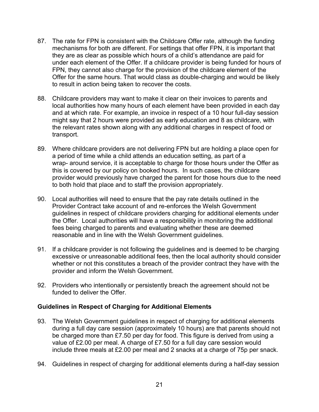- 87. The rate for FPN is consistent with the Childcare Offer rate, although the funding mechanisms for both are different. For settings that offer FPN, it is important that they are as clear as possible which hours of a child's attendance are paid for under each element of the Offer. If a childcare provider is being funded for hours of FPN, they cannot also charge for the provision of the childcare element of the Offer for the same hours. That would class as double-charging and would be likely to result in action being taken to recover the costs.
- 88. Childcare providers may want to make it clear on their invoices to parents and local authorities how many hours of each element have been provided in each day and at which rate. For example, an invoice in respect of a 10 hour full-day session might say that 2 hours were provided as early education and 8 as childcare, with the relevant rates shown along with any additional charges in respect of food or transport.
- 89. Where childcare providers are not delivering FPN but are holding a place open for a period of time while a child attends an education setting, as part of a wrap- around service, it is acceptable to charge for those hours under the Offer as this is covered by our policy on booked hours. In such cases, the childcare provider would previously have charged the parent for those hours due to the need to both hold that place and to staff the provision appropriately.
- 90. Local authorities will need to ensure that the pay rate details outlined in the [Provider Contract](#page-30-1) take account of and re-enforces the Welsh Government guidelines in respect of childcare providers charging for additional elements under the Offer. Local authorities will have a responsibility in monitoring the additional fees being charged to parents and evaluating whether these are deemed reasonable and in line with the Welsh Government guidelines.
- 91. If a childcare provider is not following the guidelines and is deemed to be charging excessive or unreasonable additional fees, then the local authority should consider whether or not this constitutes a breach of the provider contract they have with the provider and inform the Welsh Government.
- 92. Providers who intentionally or persistently breach the agreement should not be funded to deliver the Offer.

# <span id="page-20-0"></span>**Guidelines in Respect of Charging for Additional Elements**

- 93. The Welsh Government guidelines in respect of charging for additional elements during a full day care session (approximately 10 hours) are that parents should not be charged more than £7.50 per day for food. This figure is derived from using a value of £2.00 per meal. A charge of £7.50 for a full day care session would include three meals at £2.00 per meal and 2 snacks at a charge of 75p per snack.
- 94. Guidelines in respect of charging for additional elements during a half-day session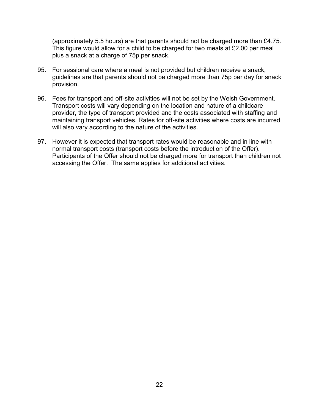(approximately 5.5 hours) are that parents should not be charged more than £4.75. This figure would allow for a child to be charged for two meals at £2.00 per meal plus a snack at a charge of 75p per snack.

- 95. For sessional care where a meal is not provided but children receive a snack, guidelines are that parents should not be charged more than 75p per day for snack provision.
- 96. Fees for transport and off-site activities will not be set by the Welsh Government. Transport costs will vary depending on the location and nature of a childcare provider, the type of transport provided and the costs associated with staffing and maintaining transport vehicles. Rates for off-site activities where costs are incurred will also vary according to the nature of the activities.
- 97. However it is expected that transport rates would be reasonable and in line with normal transport costs (transport costs before the introduction of the Offer). Participants of the Offer should not be charged more for transport than children not accessing the Offer. The same applies for additional activities.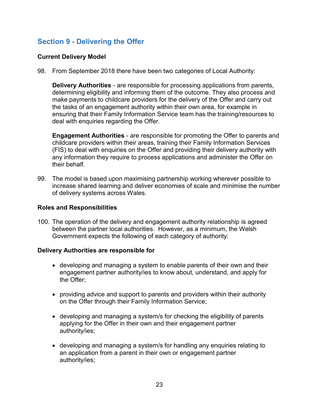# <span id="page-22-0"></span>**Section 9 - Delivering the Offer**

## <span id="page-22-1"></span>**Current Delivery Model**

98. From September 2018 there have been two categories of Local Authority:

**Delivery Authorities** - are responsible for processing applications from parents, determining eligibility and informing them of the outcome. They also process and make payments to childcare providers for the delivery of the Offer and carry out the tasks of an engagement authority within their own area, for example in ensuring that their Family Information Service team has the training/resources to deal with enquiries regarding the Offer.

**Engagement Authorities** - are responsible for promoting the Offer to parents and childcare providers within their areas, training their Family Information Services (FIS) to deal with enquiries on the Offer and providing their delivery authority with any information they require to process applications and administer the Offer on their behalf.

99. The model is based upon maximising partnership working wherever possible to increase shared learning and deliver economies of scale and minimise the number of delivery systems across Wales.

#### <span id="page-22-2"></span>**Roles and Responsibilities**

100. The operation of the delivery and engagement authority relationship is agreed between the partner local authorities. However, as a minimum, the Welsh Government expects the following of each category of authority:

#### <span id="page-22-3"></span>**Delivery Authorities are responsible for**

- developing and managing a system to enable parents of their own and their engagement partner authority/ies to know about, understand, and apply for the Offer;
- providing advice and support to parents and providers within their authority on the Offer through their Family Information Service;
- developing and managing a system/s for checking the eligibility of parents applying for the Offer in their own and their engagement partner authority/ies;
- developing and managing a system/s for handling any enquiries relating to an application from a parent in their own or engagement partner authority/ies;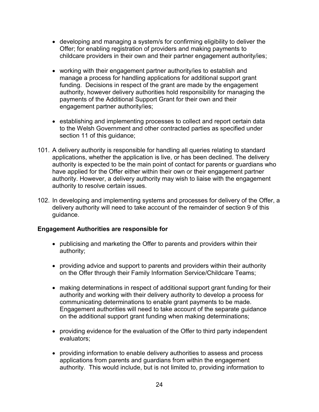- developing and managing a system/s for confirming eligibility to deliver the Offer; for enabling registration of providers and making payments to childcare providers in their own and their partner engagement authority/ies;
- working with their engagement partner authority/ies to establish and manage a process for handling applications for additional support grant funding. Decisions in respect of the grant are made by the engagement authority, however delivery authorities hold responsibility for managing the payments of the Additional Support Grant for their own and their engagement partner authority/ies;
- establishing and implementing processes to collect and report certain data to the Welsh Government and other contracted parties as specified under section 11 of this guidance;
- 101. A delivery authority is responsible for handling all queries relating to standard applications, whether the application is live, or has been declined. The delivery authority is expected to be the main point of contact for parents or guardians who have applied for the Offer either within their own or their engagement partner authority. However, a delivery authority may wish to liaise with the engagement authority to resolve certain issues.
- 102. In developing and implementing systems and processes for delivery of the Offer, a delivery authority will need to take account of the remainder of section 9 of this guidance.

# <span id="page-23-0"></span>**Engagement Authorities are responsible for**

- publicising and marketing the Offer to parents and providers within their authority;
- providing advice and support to parents and providers within their authority on the Offer through their Family Information Service/Childcare Teams;
- making determinations in respect of additional support grant funding for their authority and working with their delivery authority to develop a process for communicating determinations to enable grant payments to be made. Engagement authorities will need to take account of the separate guidance on the additional support grant funding when making determinations;
- providing evidence for the evaluation of the Offer to third party independent evaluators;
- providing information to enable delivery authorities to assess and process applications from parents and guardians from within the engagement authority. This would include, but is not limited to, providing information to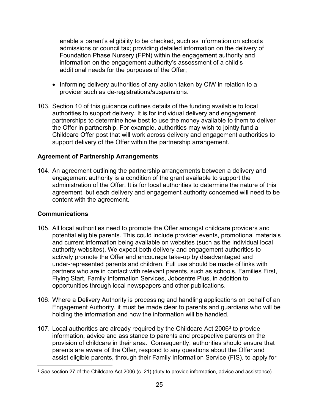enable a parent's eligibility to be checked, such as information on schools admissions or council tax; providing detailed information on the delivery of Foundation Phase Nursery (FPN) within the engagement authority and information on the engagement authority's assessment of a child's additional needs for the purposes of the Offer;

- Informing delivery authorities of any action taken by CIW in relation to a provider such as de-registrations/suspensions.
- 103. Section 10 of this guidance outlines details of the funding available to local authorities to support delivery. It is for individual delivery and engagement partnerships to determine how best to use the money available to them to deliver the Offer in partnership. For example, authorities may wish to jointly fund a Childcare Offer post that will work across delivery and engagement authorities to support delivery of the Offer within the partnership arrangement.

## <span id="page-24-0"></span>**Agreement of Partnership Arrangements**

104. An agreement outlining the partnership arrangements between a delivery and engagement authority is a condition of the grant available to support the administration of the Offer. It is for local authorities to determine the nature of this agreement, but each delivery and engagement authority concerned will need to be content with the agreement.

# <span id="page-24-1"></span>**Communications**

- 105. All local authorities need to promote the Offer amongst childcare providers and potential eligible parents. This could include provider events, promotional materials and current information being available on websites (such as the individual local authority websites). We expect both delivery and engagement authorities to actively promote the Offer and encourage take-up by disadvantaged and under-represented parents and children. Full use should be made of links with partners who are in contact with relevant parents, such as schools, Families First, Flying Start, Family Information Services, Jobcentre Plus, in addition to opportunities through local newspapers and other publications.
- 106. Where a Delivery Authority is processing and handling applications on behalf of an Engagement Authority, it must be made clear to parents and guardians who will be holding the information and how the information will be handled.
- 107. Local authorities are already required by the Childcare Act 2006<sup>3</sup> to provide information, advice and assistance to parents and prospective parents on the provision of childcare in their area. Consequently, authorities should ensure that parents are aware of the Offer, respond to any questions about the Offer and assist eligible parents, through their Family Information Service (FIS), to apply for

 $\overline{a}$ <sup>3</sup> *See* section 27 of the Childcare Act 2006 (c. 21) (duty to provide information, advice and assistance).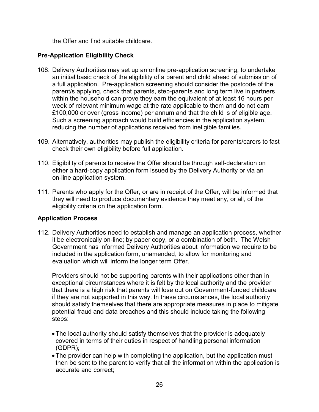the Offer and find suitable childcare.

# <span id="page-25-0"></span>**Pre-Application Eligibility Check**

- 108. Delivery Authorities may set up an online pre-application screening, to undertake an initial basic check of the eligibility of a parent and child ahead of submission of a full application. Pre-application screening should consider the postcode of the parent/s applying, check that parents, step-parents and long term live in partners within the household can prove they earn the equivalent of at least 16 hours per week of relevant minimum wage at the rate applicable to them and do not earn £100,000 or over (gross income) per annum and that the child is of eligible age. Such a screening approach would build efficiencies in the application system, reducing the number of applications received from ineligible families.
- 109. Alternatively, authorities may publish the eligibility criteria for parents/carers to fast check their own eligibility before full application.
- 110. Eligibility of parents to receive the Offer should be through self-declaration on either a hard-copy application form issued by the Delivery Authority or via an on-line application system.
- 111. Parents who apply for the Offer, or are in receipt of the Offer, will be informed that they will need to produce documentary evidence they meet any, or all, of the eligibility criteria on the application form.

# <span id="page-25-1"></span>**Application Process**

112. Delivery Authorities need to establish and manage an application process, whether it be electronically on-line; by paper copy, or a combination of both. The Welsh Government has informed Delivery Authorities about information we require to be included in the application form, unamended, to allow for monitoring and evaluation which will inform the longer term Offer.

Providers should not be supporting parents with their applications other than in exceptional circumstances where it is felt by the local authority and the provider that there is a high risk that parents will lose out on Government-funded childcare if they are not supported in this way. In these circumstances, the local authority should satisfy themselves that there are appropriate measures in place to mitigate potential fraud and data breaches and this should include taking the following steps:

- The local authority should satisfy themselves that the provider is adequately covered in terms of their duties in respect of handling personal information (GDPR);
- The provider can help with completing the application, but the application must then be sent to the parent to verify that all the information within the application is accurate and correct;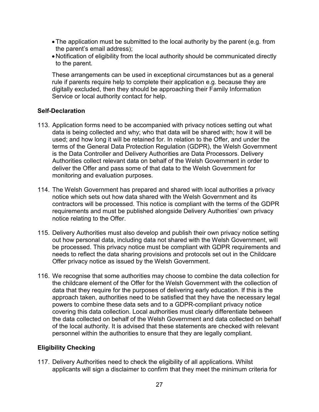- The application must be submitted to the local authority by the parent (e.g. from the parent's email address);
- Notification of eligibility from the local authority should be communicated directly to the parent.

These arrangements can be used in exceptional circumstances but as a general rule if parents require help to complete their application e.g. because they are digitally excluded, then they should be approaching their Family Information Service or local authority contact for help.

#### <span id="page-26-0"></span>**Self-Declaration**

- 113. Application forms need to be accompanied with privacy notices setting out what data is being collected and why; who that data will be shared with; how it will be used; and how long it will be retained for. In relation to the Offer, and under the terms of the General Data Protection Regulation (GDPR), the Welsh Government is the Data Controller and Delivery Authorities are Data Processors. Delivery Authorities collect relevant data on behalf of the Welsh Government in order to deliver the Offer and pass some of that data to the Welsh Government for monitoring and evaluation purposes.
- 114. The Welsh Government has prepared and shared with local authorities a privacy notice which sets out how data shared with the Welsh Government and its contractors will be processed. This notice is compliant with the terms of the GDPR requirements and must be published alongside Delivery Authorities' own privacy notice relating to the Offer.
- 115. Delivery Authorities must also develop and publish their own privacy notice setting out how personal data, including data not shared with the Welsh Government, will be processed. This privacy notice must be compliant with GDPR requirements and needs to reflect the data sharing provisions and protocols set out in the Childcare Offer privacy notice as issued by the Welsh Government.
- 116. We recognise that some authorities may choose to combine the data collection for the childcare element of the Offer for the Welsh Government with the collection of data that they require for the purposes of delivering early education. If this is the approach taken, authorities need to be satisfied that they have the necessary legal powers to combine these data sets and to a GDPR-compliant privacy notice covering this data collection. Local authorities must clearly differentiate between the data collected on behalf of the Welsh Government and data collected on behalf of the local authority. It is advised that these statements are checked with relevant personnel within the authorities to ensure that they are legally compliant.

# <span id="page-26-1"></span>**Eligibility Checking**

117. Delivery Authorities need to check the eligibility of all applications. Whilst applicants will sign a disclaimer to confirm that they meet the minimum criteria for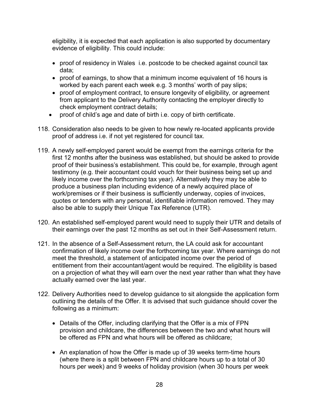eligibility, it is expected that each application is also supported by documentary evidence of eligibility. This could include:

- proof of residency in Wales i.e. postcode to be checked against council tax data;
- proof of earnings, to show that a minimum income equivalent of 16 hours is worked by each parent each week e.g. 3 months' worth of pay slips;
- proof of employment contract, to ensure longevity of eligibility, or agreement from applicant to the Delivery Authority contacting the employer directly to check employment contract details;
- proof of child's age and date of birth i.e. copy of birth certificate.
- 118. Consideration also needs to be given to how newly re-located applicants provide proof of address i.e. if not yet registered for council tax.
- 119. A newly self-employed parent would be exempt from the earnings criteria for the first 12 months after the business was established, but should be asked to provide proof of their business's establishment. This could be, for example, through agent testimony (e.g. their accountant could vouch for their business being set up and likely income over the forthcoming tax year). Alternatively they may be able to produce a business plan including evidence of a newly acquired place of work/premises or if their business is sufficiently underway, copies of invoices, quotes or tenders with any personal, identifiable information removed. They may also be able to supply their Unique Tax Reference (UTR).
- 120. An established self-employed parent would need to supply their UTR and details of their earnings over the past 12 months as set out in their Self-Assessment return.
- 121. In the absence of a Self-Assessment return, the LA could ask for accountant confirmation of likely income over the forthcoming tax year. Where earnings do not meet the threshold, a statement of anticipated income over the period of entitlement from their accountant/agent would be required. The eligibility is based on a projection of what they will earn over the next year rather than what they have actually earned over the last year.
- 122. Delivery Authorities need to develop guidance to sit alongside the application form outlining the details of the Offer. It is advised that such guidance should cover the following as a minimum:
	- Details of the Offer, including clarifying that the Offer is a mix of FPN provision and childcare, the differences between the two and what hours will be offered as FPN and what hours will be offered as childcare;
	- An explanation of how the Offer is made up of 39 weeks term-time hours (where there is a split between FPN and childcare hours up to a total of 30 hours per week) and 9 weeks of holiday provision (when 30 hours per week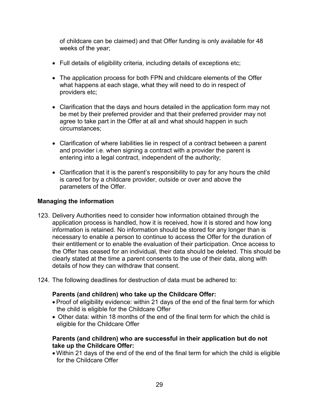of childcare can be claimed) and that Offer funding is only available for 48 weeks of the year;

- Full details of eligibility criteria, including details of exceptions etc;
- The application process for both FPN and childcare elements of the Offer what happens at each stage, what they will need to do in respect of providers etc;
- Clarification that the days and hours detailed in the application form may not be met by their preferred provider and that their preferred provider may not agree to take part in the Offer at all and what should happen in such circumstances;
- Clarification of where liabilities lie in respect of a contract between a parent and provider i.e. when signing a contract with a provider the parent is entering into a legal contract, independent of the authority;
- Clarification that it is the parent's responsibility to pay for any hours the child is cared for by a childcare provider, outside or over and above the parameters of the Offer.

# <span id="page-28-0"></span>**Managing the information**

- 123. Delivery Authorities need to consider how information obtained through the application process is handled, how it is received, how it is stored and how long information is retained. No information should be stored for any longer than is necessary to enable a person to continue to access the Offer for the duration of their entitlement or to enable the evaluation of their participation. Once access to the Offer has ceased for an individual, their data should be deleted. This should be clearly stated at the time a parent consents to the use of their data, along with details of how they can withdraw that consent.
- 124. The following deadlines for destruction of data must be adhered to:

#### **Parents (and children) who take up the Childcare Offer:**

- Proof of eligibility evidence: within 21 days of the end of the final term for which the child is eligible for the Childcare Offer
- Other data: within 18 months of the end of the final term for which the child is eligible for the Childcare Offer

#### **Parents (and children) who are successful in their application but do not take up the Childcare Offer:**

 Within 21 days of the end of the end of the final term for which the child is eligible for the Childcare Offer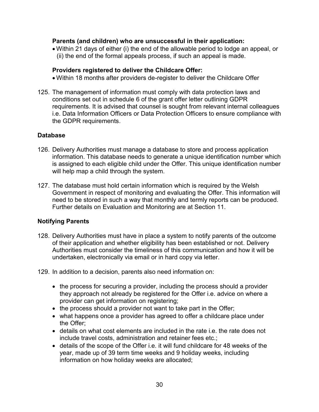#### **Parents (and children) who are unsuccessful in their application:**

 Within 21 days of either (i) the end of the allowable period to lodge an appeal, or (ii) the end of the formal appeals process, if such an appeal is made.

#### **Providers registered to deliver the Childcare Offer:**

- Within 18 months after providers de-register to deliver the Childcare Offer
- 125. The management of information must comply with data protection laws and conditions set out in schedule 6 of the grant offer letter outlining GDPR requirements. It is advised that counsel is sought from relevant internal colleagues i.e. Data Information Officers or Data Protection Officers to ensure compliance with the GDPR requirements.

## <span id="page-29-0"></span>**Database**

- 126. Delivery Authorities must manage a database to store and process application information. This database needs to generate a unique identification number which is assigned to each eligible child under the Offer. This unique identification number will help map a child through the system.
- 127. The database must hold certain information which is required by the Welsh Government in respect of monitoring and evaluating the Offer. This information will need to be stored in such a way that monthly and termly reports can be produced. Further details on Evaluation and Monitoring are at Section 11.

# <span id="page-29-1"></span>**Notifying Parents**

- 128. Delivery Authorities must have in place a system to notify parents of the outcome of their application and whether eligibility has been established or not. Delivery Authorities must consider the timeliness of this communication and how it will be undertaken, electronically via email or in hard copy via letter.
- 129. In addition to a decision, parents also need information on:
	- the process for securing a provider, including the process should a provider they approach not already be registered for the Offer i.e. advice on where a provider can get information on registering;
	- the process should a provider not want to take part in the Offer;
	- what happens once a provider has agreed to offer a childcare place under the Offer;
	- details on what cost elements are included in the rate i.e. the rate does not include travel costs, administration and retainer fees etc.;
	- details of the scope of the Offer i.e. it will fund childcare for 48 weeks of the year, made up of 39 term time weeks and 9 holiday weeks, including information on how holiday weeks are allocated;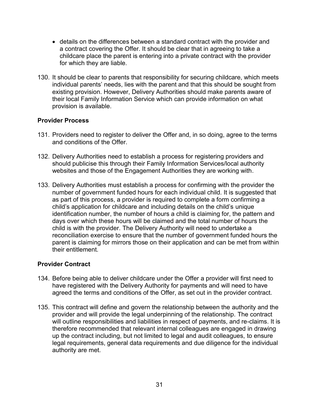- details on the differences between a standard contract with the provider and a contract covering the Offer. It should be clear that in agreeing to take a childcare place the parent is entering into a private contract with the provider for which they are liable.
- 130. It should be clear to parents that responsibility for securing childcare, which meets individual parents' needs, lies with the parent and that this should be sought from existing provision. However, Delivery Authorities should make parents aware of their local Family Information Service which can provide information on what provision is available.

## <span id="page-30-0"></span>**Provider Process**

- 131. Providers need to register to deliver the Offer and, in so doing, agree to the terms and conditions of the Offer.
- 132. Delivery Authorities need to establish a process for registering providers and should publicise this through their Family Information Services/local authority websites and those of the Engagement Authorities they are working with.
- 133. Delivery Authorities must establish a process for confirming with the provider the number of government funded hours for each individual child. It is suggested that as part of this process, a provider is required to complete a form confirming a child's application for childcare and including details on the child's unique identification number, the number of hours a child is claiming for, the pattern and days over which these hours will be claimed and the total number of hours the child is with the provider. The Delivery Authority will need to undertake a reconciliation exercise to ensure that the number of government funded hours the parent is claiming for mirrors those on their application and can be met from within their entitlement.

# <span id="page-30-1"></span>**Provider Contract**

- 134. Before being able to deliver childcare under the Offer a provider will first need to have registered with the Delivery Authority for payments and will need to have agreed the terms and conditions of the Offer, as set out in the provider contract.
- 135. This contract will define and govern the relationship between the authority and the provider and will provide the legal underpinning of the relationship. The contract will outline responsibilities and liabilities in respect of payments, and re-claims. It is therefore recommended that relevant internal colleagues are engaged in drawing up the contract including, but not limited to legal and audit colleagues, to ensure legal requirements, general data requirements and due diligence for the individual authority are met.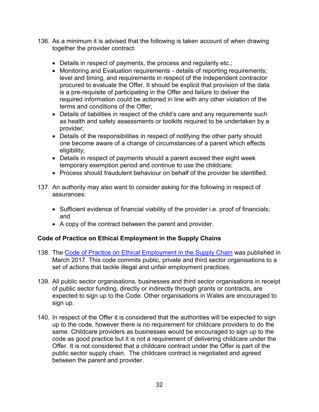- 136. As a minimum it is advised that the following is taken account of when drawing together the provider contract:
	- Details in respect of payments, the process and regularity etc.;
	- Monitoring and Evaluation requirements details of reporting requirements; level and timing, and requirements in respect of the independent contractor procured to evaluate the Offer. It should be explicit that provision of the data is a pre-requisite of participating in the Offer and failure to deliver the required information could be actioned in line with any other violation of the terms and conditions of the Offer;
	- Details of liabilities in respect of the child's care and any requirements such as health and safety assessments or toolkits required to be undertaken by a provider;
	- Details of the responsibilities in respect of notifying the other party should one become aware of a change of circumstances of a parent which effects eligibility;
	- Details in respect of payments should a parent exceed their eight week temporary exemption period and continue to use the childcare;
	- Process should fraudulent behaviour on behalf of the provider be identified.
- 137. An authority may also want to consider asking for the following in respect of assurances:
	- Sufficient evidence of financial viability of the provider i.e. proof of financials; and
	- A copy of the contract between the parent and provider.

# <span id="page-31-0"></span>**Code of Practice on Ethical Employment in the Supply Chains**

- 138. The [Code of Practice on Ethical Employment in the Supply Chain](http://gov.wales/docs/dpsp/publications/valuewales/170502-ethical-en.pdf) was published in March 2017. This code commits public, private and third sector organisations to a set of actions that tackle illegal and unfair employment practices.
- 139. All public sector organisations, businesses and third sector organisations in receipt of public sector funding, directly or indirectly through grants or contracts, are expected to sign up to the Code. Other organisations in Wales are encouraged to sign up.
- 140. In respect of the Offer it is considered that the authorities will be expected to sign up to the code, however there is no requirement for childcare providers to do the same. Childcare providers as businesses would be encouraged to sign up to the code as good practice but it is not a requirement of delivering childcare under the Offer. It is not considered that a childcare contract under the Offer is part of the public sector supply chain. The childcare contract is negotiated and agreed between the parent and provider.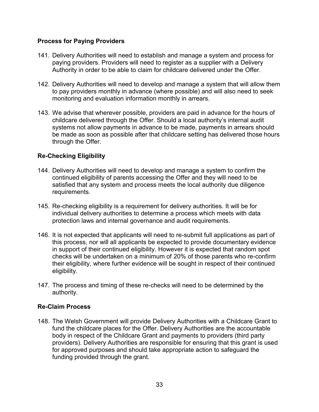# <span id="page-32-0"></span>**Process for Paying Providers**

- 141. Delivery Authorities will need to establish and manage a system and process for paying providers. Providers will need to register as a supplier with a Delivery Authority in order to be able to claim for childcare delivered under the Offer.
- 142. Delivery Authorities will need to develop and manage a system that will allow them to pay providers monthly in advance (where possible) and will also need to seek monitoring and evaluation information monthly in arrears.
- 143. We advise that wherever possible, providers are paid in advance for the hours of childcare delivered through the Offer. Should a local authority's internal audit systems not allow payments in advance to be made, payments in arrears should be made as soon as possible after that childcare setting has delivered those hours through the Offer.

## <span id="page-32-1"></span>**Re-Checking Eligibility**

- 144. Delivery Authorities will need to develop and manage a system to confirm the continued eligibility of parents accessing the Offer and they will need to be satisfied that any system and process meets the local authority due diligence requirements.
- 145. Re-checking eligibility is a requirement for delivery authorities. It will be for individual delivery authorities to determine a process which meets with data protection laws and internal governance and audit requirements.
- 146. It is not expected that applicants will need to re-submit full applications as part of this process, nor will all applicants be expected to provide documentary evidence in support of their continued eligibility. However it is expected that random spot checks will be undertaken on a minimum of 20% of those parents who re-confirm their eligibility, where further evidence will be sought in respect of their continued eligibility.
- 147. The process and timing of these re-checks will need to be determined by the authority.

#### <span id="page-32-2"></span>**Re-Claim Process**

148. The Welsh Government will provide Delivery Authorities with a Childcare Grant to fund the childcare places for the Offer. Delivery Authorities are the accountable body in respect of the Childcare Grant and payments to providers (third party providers). Delivery Authorities are responsible for ensuring that this grant is used for approved purposes and should take appropriate action to safeguard the funding provided through the grant.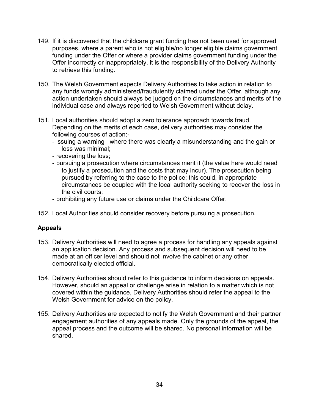- 149. If it is discovered that the childcare grant funding has not been used for approved purposes, where a parent who is not eligible/no longer eligible claims government funding under the Offer or where a provider claims government funding under the Offer incorrectly or inappropriately, it is the responsibility of the Delivery Authority to retrieve this funding.
- 150. The Welsh Government expects Delivery Authorities to take action in relation to any funds wrongly administered/fraudulently claimed under the Offer, although any action undertaken should always be judged on the circumstances and merits of the individual case and always reported to Welsh Government without delay.
- 151. Local authorities should adopt a zero tolerance approach towards fraud. Depending on the merits of each case, delivery authorities may consider the following courses of action:-
	- issuing a warning– where there was clearly a misunderstanding and the gain or loss was minimal;
	- recovering the loss;
	- pursuing a prosecution where circumstances merit it (the value here would need to justify a prosecution and the costs that may incur). The prosecution being pursued by referring to the case to the police; this could, in appropriate circumstances be coupled with the local authority seeking to recover the loss in the civil courts;
	- prohibiting any future use or claims under the Childcare Offer.
- 152. Local Authorities should consider recovery before pursuing a prosecution.

# <span id="page-33-0"></span>**Appeals**

- 153. Delivery Authorities will need to agree a process for handling any appeals against an application decision. Any process and subsequent decision will need to be made at an officer level and should not involve the cabinet or any other democratically elected official.
- 154. Delivery Authorities should refer to this guidance to inform decisions on appeals. However, should an appeal or challenge arise in relation to a matter which is not covered within the guidance, Delivery Authorities should refer the appeal to the Welsh Government for advice on the policy.
- 155. Delivery Authorities are expected to notify the Welsh Government and their partner engagement authorities of any appeals made. Only the grounds of the appeal, the appeal process and the outcome will be shared. No personal information will be shared.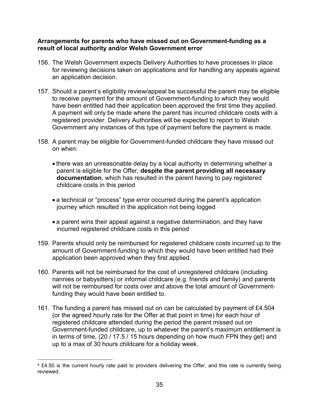#### <span id="page-34-0"></span>**Arrangements for parents who have missed out on Government-funding as a result of local authority and/or Welsh Government error**

- 156. The Welsh Government expects Delivery Authorities to have processes in place for reviewing decisions taken on applications and for handling any appeals against an application decision.
- 157. Should a parent's eligibility review/appeal be successful the parent may be eligible to receive payment for the amount of Government-funding to which they would have been entitled had their application been approved the first time they applied. A payment will only be made where the parent has incurred childcare costs with a registered provider. Delivery Authorities will be expected to report to Welsh Government any instances of this type of payment before the payment is made.
- 158. A parent may be eligible for Government-funded childcare they have missed out on when:
	- there was an unreasonable delay by a local authority in determining whether a parent is eligible for the Offer, **despite the parent providing all necessary documentation**, which has resulted in the parent having to pay registered childcare costs in this period
	- a technical or "process" type error occurred during the parent's application journey which resulted in the application not being logged
	- a parent wins their appeal against a negative determination, and they have incurred registered childcare costs in this period
- 159. Parents should only be reimbursed for registered childcare costs incurred up to the amount of Government-funding to which they would have been entitled had their application been approved when they first applied.
- 160. Parents will not be reimbursed for the cost of unregistered childcare (including nannies or babysitters) or informal childcare (e.g. friends and family) and parents will not be reimbursed for costs over and above the total amount of Governmentfunding they would have been entitled to.
- 161. The funding a parent has missed out on can be calculated by payment of £4.504 (or the agreed hourly rate for the Offer at that point in time) for each hour of registered childcare attended during the period the parent missed out on Government-funded childcare, up to whatever the parent's maximum entitlement is in terms of time, (20 / 17.5 / 15 hours depending on how much FPN they get) and up to a max of 30 hours childcare for a holiday week.

 $\overline{a}$ <sup>4</sup> £4.50 is the current hourly rate paid to providers delivering the Offer, and this rate is currently being reviewed.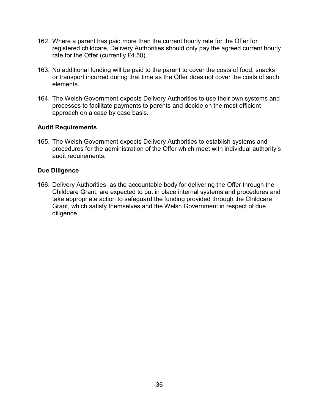- 162. Where a parent has paid more than the current hourly rate for the Offer for registered childcare, Delivery Authorities should only pay the agreed current hourly rate for the Offer (currently £4.50).
- 163. No additional funding will be paid to the parent to cover the costs of food, snacks or transport incurred during that time as the Offer does not cover the costs of such elements.
- 164. The Welsh Government expects Delivery Authorities to use their own systems and processes to facilitate payments to parents and decide on the most efficient approach on a case by case basis.

#### <span id="page-35-0"></span>**Audit Requirements**

165. The Welsh Government expects Delivery Authorities to establish systems and procedures for the administration of the Offer which meet with individual authority's audit requirements.

#### <span id="page-35-1"></span>**Due Diligence**

166. Delivery Authorities, as the accountable body for delivering the Offer through the Childcare Grant, are expected to put in place internal systems and procedures and take appropriate action to safeguard the funding provided through the Childcare Grant, which satisfy themselves and the Welsh Government in respect of due diligence.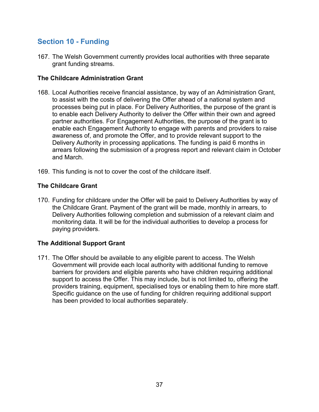# <span id="page-36-0"></span>**Section 10 - Funding**

167. The Welsh Government currently provides local authorities with three separate grant funding streams.

# <span id="page-36-1"></span>**The Childcare Administration Grant**

- 168. Local Authorities receive financial assistance, by way of an Administration Grant, to assist with the costs of delivering the Offer ahead of a national system and processes being put in place. For Delivery Authorities, the purpose of the grant is to enable each Delivery Authority to deliver the Offer within their own and agreed partner authorities. For Engagement Authorities, the purpose of the grant is to enable each Engagement Authority to engage with parents and providers to raise awareness of, and promote the Offer, and to provide relevant support to the Delivery Authority in processing applications. The funding is paid 6 months in arrears following the submission of a progress report and relevant claim in October and March.
- 169. This funding is not to cover the cost of the childcare itself.

## <span id="page-36-2"></span>**The Childcare Grant**

170. Funding for childcare under the Offer will be paid to Delivery Authorities by way of the Childcare Grant. Payment of the grant will be made, monthly in arrears, to Delivery Authorities following completion and submission of a relevant claim and monitoring data. It will be for the individual authorities to develop a process for paying providers.

#### <span id="page-36-3"></span>**The Additional Support Grant**

171. The Offer should be available to any eligible parent to access. The Welsh Government will provide each local authority with additional funding to remove barriers for providers and eligible parents who have children requiring additional support to access the Offer. This may include, but is not limited to, offering the providers training, equipment, specialised toys or enabling them to hire more staff. Specific guidance on the use of funding for children requiring additional support has been provided to local authorities separately.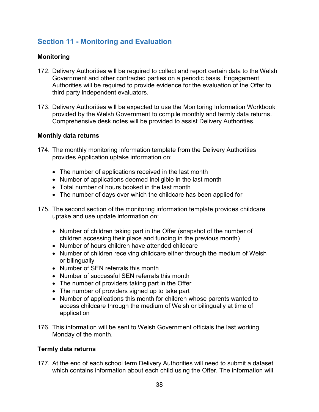# <span id="page-37-0"></span>**Section 11 - Monitoring and Evaluation**

# <span id="page-37-1"></span>**Monitoring**

- 172. Delivery Authorities will be required to collect and report certain data to the Welsh Government and other contracted parties on a periodic basis. Engagement Authorities will be required to provide evidence for the evaluation of the Offer to third party independent evaluators.
- 173. Delivery Authorities will be expected to use the Monitoring Information Workbook provided by the Welsh Government to compile monthly and termly data returns. Comprehensive desk notes will be provided to assist Delivery Authorities.

## **Monthly data returns**

- 174. The monthly monitoring information template from the Delivery Authorities provides Application uptake information on:
	- The number of applications received in the last month
	- Number of applications deemed ineligible in the last month
	- Total number of hours booked in the last month
	- The number of days over which the childcare has been applied for
- 175. The second section of the monitoring information template provides childcare uptake and use update information on:
	- Number of children taking part in the Offer (snapshot of the number of children accessing their place and funding in the previous month)
	- Number of hours children have attended childcare
	- Number of children receiving childcare either through the medium of Welsh or bilingually
	- Number of SEN referrals this month
	- Number of successful SEN referrals this month
	- The number of providers taking part in the Offer
	- The number of providers signed up to take part
	- Number of applications this month for children whose parents wanted to access childcare through the medium of Welsh or bilingually at time of application
- 176. This information will be sent to Welsh Government officials the last working Monday of the month.

# **Termly data returns**

177. At the end of each school term Delivery Authorities will need to submit a dataset which contains information about each child using the Offer. The information will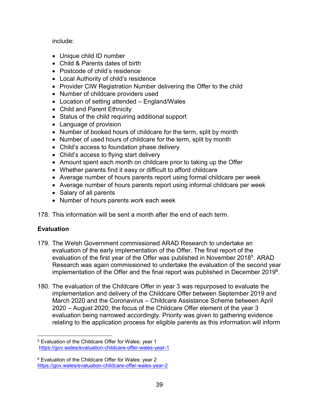## include:

- Unique child ID number
- Child & Parents dates of birth
- Postcode of child's residence
- Local Authority of child's residence
- Provider CIW Registration Number delivering the Offer to the child
- Number of childcare providers used
- Location of setting attended England/Wales
- Child and Parent Ethnicity
- Status of the child requiring additional support
- Language of provision
- Number of booked hours of childcare for the term, split by month
- Number of used hours of childcare for the term, split by month
- Child's access to foundation phase delivery
- Child's access to flying start delivery
- Amount spent each month on childcare prior to taking up the Offer
- Whether parents find it easy or difficult to afford childcare
- Average number of hours parents report using formal childcare per week
- Average number of hours parents report using informal childcare per week
- Salary of all parents
- Number of hours parents work each week
- 178. This information will be sent a month after the end of each term.

# <span id="page-38-0"></span>**Evaluation**

 $\overline{a}$ 

- 179. The Welsh Government commissioned ARAD Research to undertake an evaluation of the early implementation of the Offer. The final report of the evaluation of the first year of the Offer was published in November 2018<sup>5</sup>. ARAD Research was again commissioned to undertake the evaluation of the second year implementation of the Offer and the final report was published in December 2019 $^{\rm 6}$ .
- 180. The evaluation of the Childcare Offer in year 3 was repurposed to evaluate the implementation and delivery of the Childcare Offer between September 2019 and March 2020 and the Coronavirus – Childcare Assistance Scheme between April 2020 – August 2020; the focus of the Childcare Offer element of the year 3 evaluation being narrowed accordingly. Priority was given to gathering evidence relating to the application process for eligible parents as this information will inform

<sup>5</sup> Evaluation of the Childcare Offer for Wales: year 1 <https://gov.wales/evaluation-childcare-offer-wales-year-1>

<sup>6</sup> Evaluation of the Childcare Offer for Wales: year 2 <https://gov.wales/evaluation-childcare-offer-wales-year-2>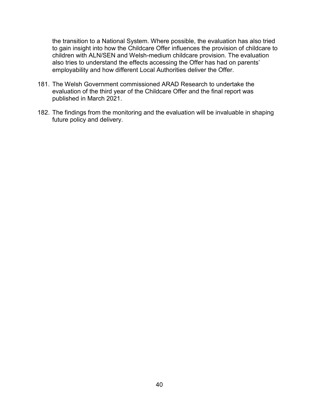the transition to a National System. Where possible, the evaluation has also tried to gain insight into how the Childcare Offer influences the provision of childcare to children with ALN/SEN and Welsh-medium childcare provision. The evaluation also tries to understand the effects accessing the Offer has had on parents' employability and how different Local Authorities deliver the Offer.

- 181. The Welsh Government commissioned ARAD Research to undertake the evaluation of the third year of the Childcare Offer and the final report was published in March 2021.
- 182. The findings from the monitoring and the evaluation will be invaluable in shaping future policy and delivery.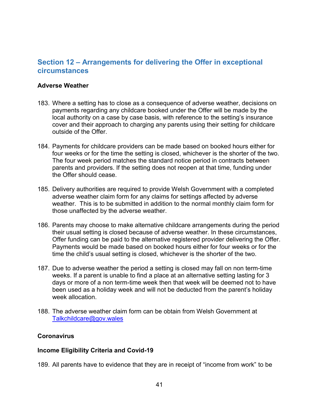# <span id="page-40-0"></span>**Section 12 – Arrangements for delivering the Offer in exceptional circumstances**

#### <span id="page-40-1"></span>**Adverse Weather**

- 183. Where a setting has to close as a consequence of adverse weather, decisions on payments regarding any childcare booked under the Offer will be made by the local authority on a case by case basis, with reference to the setting's insurance cover and their approach to charging any parents using their setting for childcare outside of the Offer.
- 184. Payments for childcare providers can be made based on booked hours either for four weeks or for the time the setting is closed, whichever is the shorter of the two. The four week period matches the standard notice period in contracts between parents and providers. If the setting does not reopen at that time, funding under the Offer should cease.
- 185. Delivery authorities are required to provide Welsh Government with a completed adverse weather claim form for any claims for settings affected by adverse weather. This is to be submitted in addition to the normal monthly claim form for those unaffected by the adverse weather.
- 186. Parents may choose to make alternative childcare arrangements during the period their usual setting is closed because of adverse weather. In these circumstances, Offer funding can be paid to the alternative registered provider delivering the Offer. Payments would be made based on booked hours either for four weeks or for the time the child's usual setting is closed, whichever is the shorter of the two.
- 187. Due to adverse weather the period a setting is closed may fall on non term-time weeks. If a parent is unable to find a place at an alternative setting lasting for 3 days or more of a non term-time week then that week will be deemed not to have been used as a holiday week and will not be deducted from the parent's holiday week allocation.
- 188. The adverse weather claim form can be obtain from Welsh Government at [Talkchildcare@gov.wales](mailto:Talkchildcare@gov.wales)

#### <span id="page-40-2"></span>**Coronavirus**

#### **Income Eligibility Criteria and Covid-19**

189. All parents have to evidence that they are in receipt of "income from work" to be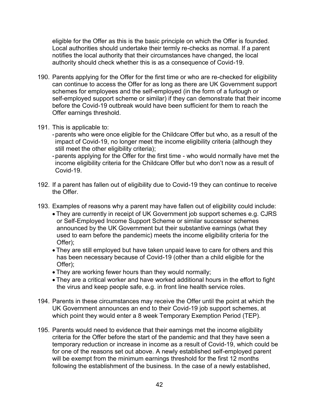eligible for the Offer as this is the basic principle on which the Offer is founded. Local authorities should undertake their termly re-checks as normal. If a parent notifies the local authority that their circumstances have changed, the local authority should check whether this is as a consequence of Covid-19.

- 190. Parents applying for the Offer for the first time or who are re-checked for eligibility can continue to access the Offer for as long as there are UK Government support schemes for employees and the self-employed (in the form of a furlough or self-employed support scheme or similar) if they can demonstrate that their income before the Covid-19 outbreak would have been sufficient for them to reach the Offer earnings threshold.
- 191. This is applicable to:
	- -parents who were once eligible for the Childcare Offer but who, as a result of the impact of Covid-19, no longer meet the income eligibility criteria (although they still meet the other eligibility criteria);
	- -parents applying for the Offer for the first time who would normally have met the income eligibility criteria for the Childcare Offer but who don't now as a result of Covid-19.
- 192. If a parent has fallen out of eligibility due to Covid-19 they can continue to receive the Offer.
- 193. Examples of reasons why a parent may have fallen out of eligibility could include:
	- They are currently in receipt of UK Government job support schemes e.g. CJRS or Self-Employed Income Support Scheme or similar successor schemes announced by the UK Government but their substantive earnings (what they used to earn before the pandemic) meets the income eligibility criteria for the Offer);
	- They are still employed but have taken unpaid leave to care for others and this has been necessary because of Covid-19 (other than a child eligible for the Offer);
	- They are working fewer hours than they would normally;
	- They are a critical worker and have worked additional hours in the effort to fight the virus and keep people safe, e.g. in front line health service roles.
- 194. Parents in these circumstances may receive the Offer until the point at which the UK Government announces an end to their Covid-19 job support schemes, at which point they would enter a 8 week Temporary Exemption Period (TEP).
- 195. Parents would need to evidence that their earnings met the income eligibility criteria for the Offer before the start of the pandemic and that they have seen a temporary reduction or increase in income as a result of Covid-19, which could be for one of the reasons set out above. A newly established self-employed parent will be exempt from the minimum earnings threshold for the first 12 months following the establishment of the business. In the case of a newly established,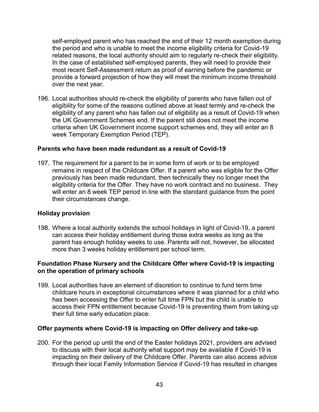self-employed parent who has reached the end of their 12 month exemption during the period and who is unable to meet the income eligibility criteria for Covid-19 related reasons, the local authority should aim to regularly re-check their eligibility. In the case of established self-employed parents, they will need to provide their most recent Self-Assessment return as proof of earning before the pandemic or provide a forward projection of how they will meet the minimum income threshold over the next year.

196. Local authorities should re-check the eligibility of parents who have fallen out of eligibility for some of the reasons outlined above at least termly and re-check the eligibility of any parent who has fallen out of eligibility as a result of Covid-19 when the UK Government Schemes end. If the parent still does not meet the income criteria when UK Government income support schemes end, they will enter an 8 week Temporary Exemption Period (TEP).

#### **Parents who have been made redundant as a result of Covid-19**

197. The requirement for a parent to be in some form of work or to be employed remains in respect of the Childcare Offer. If a parent who was eligible for the Offer previously has been made redundant, then technically they no longer meet the eligibility criteria for the Offer. They have no work contract and no business. They will enter an 8 week TEP period in line with the standard guidance from the point their circumstances change.

#### **Holiday provision**

198. Where a local authority extends the school holidays in light of Covid-19, a parent can access their holiday entitlement during those extra weeks as long as the parent has enough holiday weeks to use. Parents will not, however, be allocated more than 3 weeks holiday entitlement per school term.

## **Foundation Phase Nursery and the Childcare Offer where Covid-19 is impacting on the operation of primary schools**

199. Local authorities have an element of discretion to continue to fund term time childcare hours in exceptional circumstances where it was planned for a child who has been accessing the Offer to enter full time FPN but the child is unable to access their FPN entitlement because Covid-19 is preventing them from taking up their full time early education place.

#### **Offer payments where Covid-19 is impacting on Offer delivery and take-up**

200. For the period up until the end of the Easter holidays 2021, providers are advised to discuss with their local authority what support may be available if Covid-19 is impacting on their delivery of the Childcare Offer. Parents can also access advice through their local Family Information Service if Covid-19 has resulted in changes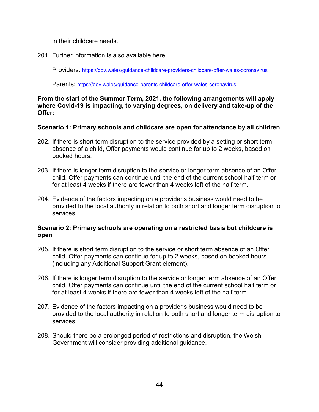in their childcare needs.

201. Further information is also available here:

Providers: <https://gov.wales/guidance-childcare-providers-childcare-offer-wales-coronavirus>

Parents: <https://gov.wales/guidance-parents-childcare-offer-wales-coronavirus>

## **From the start of the Summer Term, 2021, the following arrangements will apply where Covid-19 is impacting, to varying degrees, on delivery and take-up of the Offer:**

# **Scenario 1: Primary schools and childcare are open for attendance by all children**

- 202. If there is short term disruption to the service provided by a setting or short term absence of a child, Offer payments would continue for up to 2 weeks, based on booked hours.
- 203. If there is longer term disruption to the service or longer term absence of an Offer child, Offer payments can continue until the end of the current school half term or for at least 4 weeks if there are fewer than 4 weeks left of the half term.
- 204. Evidence of the factors impacting on a provider's business would need to be provided to the local authority in relation to both short and longer term disruption to services.

# **Scenario 2: Primary schools are operating on a restricted basis but childcare is open**

- 205. If there is short term disruption to the service or short term absence of an Offer child, Offer payments can continue for up to 2 weeks, based on booked hours (including any Additional Support Grant element).
- 206. If there is longer term disruption to the service or longer term absence of an Offer child, Offer payments can continue until the end of the current school half term or for at least 4 weeks if there are fewer than 4 weeks left of the half term.
- 207. Evidence of the factors impacting on a provider's business would need to be provided to the local authority in relation to both short and longer term disruption to services.
- 208. Should there be a prolonged period of restrictions and disruption, the Welsh Government will consider providing additional guidance.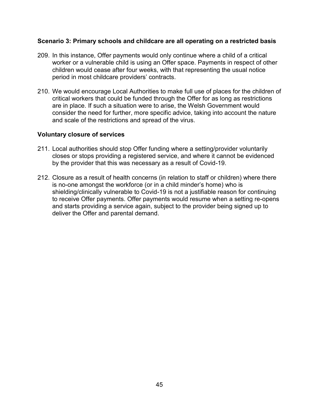#### **Scenario 3: Primary schools and childcare are all operating on a restricted basis**

- 209. In this instance, Offer payments would only continue where a child of a critical worker or a vulnerable child is using an Offer space. Payments in respect of other children would cease after four weeks, with that representing the usual notice period in most childcare providers' contracts.
- 210. We would encourage Local Authorities to make full use of places for the children of critical workers that could be funded through the Offer for as long as restrictions are in place. If such a situation were to arise, the Welsh Government would consider the need for further, more specific advice, taking into account the nature and scale of the restrictions and spread of the virus.

#### **Voluntary closure of services**

- 211. Local authorities should stop Offer funding where a setting/provider voluntarily closes or stops providing a registered service, and where it cannot be evidenced by the provider that this was necessary as a result of Covid-19.
- 212. Closure as a result of health concerns (in relation to staff or children) where there is no-one amongst the workforce (or in a child minder's home) who is shielding/clinically vulnerable to Covid-19 is not a justifiable reason for continuing to receive Offer payments. Offer payments would resume when a setting re-opens and starts providing a service again, subject to the provider being signed up to deliver the Offer and parental demand.